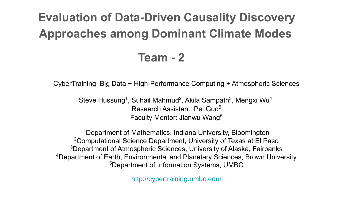### **Evaluation of Data-Driven Causality Discovery Approaches among Dominant Climate Modes**

#### **Team - 2**

CyberTraining: Big Data + High-Performance Computing + Atmospheric Sciences

Steve Hussung<sup>1</sup>, Suhail Mahmud<sup>2</sup>, Akila Sampath<sup>3</sup>, Mengxi Wu<sup>4</sup>, Research Assistant: Pei Guo<sup>5</sup> Faculty Mentor: Jianwu Wang<sup>5</sup>

1Department of Mathematics, Indiana University, Bloomington 2Computational Science Department, University of Texas at El Paso <sup>3</sup>Department of Atmospheric Sciences, University of Alaska, Fairbanks 4Department of Earth, Environmental and Planetary Sciences, Brown University 5Department of Information Systems, UMBC

<http://cybertraining.umbc.edu/>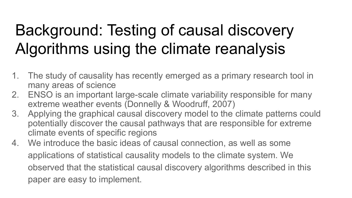# Background: Testing of causal discovery Algorithms using the climate reanalysis

- 1. The study of causality has recently emerged as a primary research tool in many areas of science
- 2. ENSO is an important large-scale climate variability responsible for many extreme weather events (Donnelly & Woodruff, 2007)
- 3. Applying the graphical causal discovery model to the climate patterns could potentially discover the causal pathways that are responsible for extreme climate events of specific regions
- 4. We introduce the basic ideas of causal connection, as well as some applications of statistical causality models to the climate system. We observed that the statistical causal discovery algorithms described in this paper are easy to implement.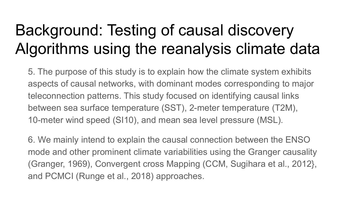# Background: Testing of causal discovery Algorithms using the reanalysis climate data

5. The purpose of this study is to explain how the climate system exhibits aspects of causal networks, with dominant modes corresponding to major teleconnection patterns. This study focused on identifying causal links between sea surface temperature (SST), 2-meter temperature (T2M), 10-meter wind speed (SI10), and mean sea level pressure (MSL).

6. We mainly intend to explain the causal connection between the ENSO mode and other prominent climate variabilities using the Granger causality (Granger, 1969), Convergent cross Mapping (CCM, Sugihara et al., 2012}, and PCMCI (Runge et al., 2018) approaches.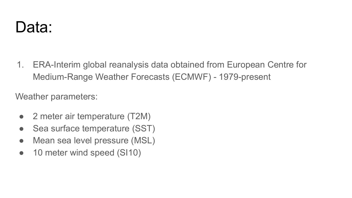

1. ERA-Interim global reanalysis data obtained from European Centre for Medium-Range Weather Forecasts (ECMWF) - 1979-present

Weather parameters:

- 2 meter air temperature (T2M)
- Sea surface temperature (SST)
- Mean sea level pressure (MSL)
- 10 meter wind speed (SI10)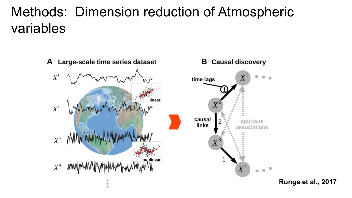### Methods: Dimension reduction of Atmospheric variables

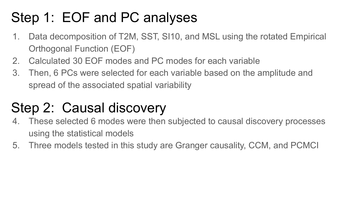### Step 1: EOF and PC analyses

- 1. Data decomposition of T2M, SST, SI10, and MSL using the rotated Empirical Orthogonal Function (EOF)
- 2. Calculated 30 EOF modes and PC modes for each variable
- 3. Then, 6 PCs were selected for each variable based on the amplitude and spread of the associated spatial variability

### Step 2: Causal discovery

- 4. These selected 6 modes were then subjected to causal discovery processes using the statistical models
- 5. Three models tested in this study are Granger causality, CCM, and PCMCI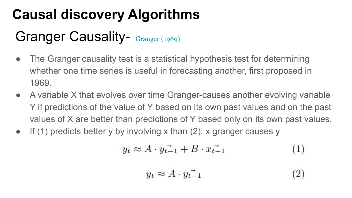### **Causal discovery Algorithms**

### Granger Causality- [Granger \(1969\)](https://www.jstor.org/stable/1912791?seq=1#metadata_info_tab_contents)

- The Granger causality test is a statistical hypothesis test for determining whether one time series is useful in forecasting another, first proposed in 1969.
- A variable X that evolves over time Granger-causes another evolving variable Y if predictions of the value of Y based on its own past values and on the past values of X are better than predictions of Y based only on its own past values.
- $\bullet$  If (1) predicts better y by involving x than (2), x granger causes y

$$
y_t \approx A \cdot y_{t-1} + B \cdot x_{t-1} \tag{1}
$$

$$
y_t \approx A \cdot y_{t-1} \tag{2}
$$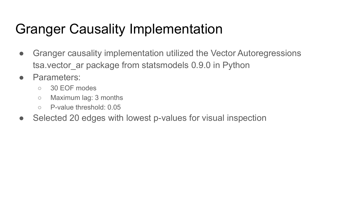### Granger Causality Implementation

- Granger causality implementation utilized the Vector Autoregressions tsa. vector ar package from statsmodels 0.9.0 in Python
- Parameters:
	- 30 EOF modes
	- Maximum lag: 3 months
	- P-value threshold: 0.05
- Selected 20 edges with lowest p-values for visual inspection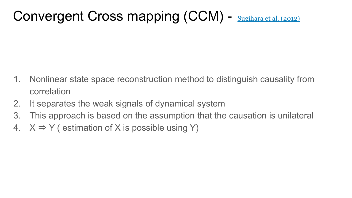Convergent Cross mapping (CCM) - [Sugihara et al. \(2012\)](https://www.sciencedirect.com/science/article/pii/S0098135417301448#bib0070)

- 1. Nonlinear state space reconstruction method to distinguish causality from correlation
- 2. It separates the weak signals of dynamical system
- 3. This approach is based on the assumption that the causation is unilateral
- 4.  $X \Rightarrow Y$  (estimation of X is possible using Y)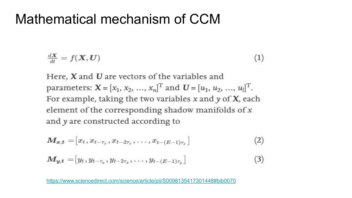#### Mathematical mechanism of CCM

$$
\frac{dX}{dt} = f(\mathbf{X}, \mathbf{U}) \tag{1}
$$

Here,  $X$  and  $U$  are vectors of the variables and parameters:  $\mathbf{X} = [x_1, x_2, ..., x_n]^T$  and  $\mathbf{U} = [u_1, u_2, ..., u_l]^T$ . For example, taking the two variables  $x$  and  $y$  of  $X$ , each element of the corresponding shadow manifolds of x and y are constructed according to

$$
\mathbf{M}_{x,t} = [x_t, x_{t-\tau_x}, x_{t-2\tau_x}, \dots, x_{t-(E-1)\tau_x}] \tag{2}
$$

$$
\mathbf{M}_{y,t} = [y_t, y_{t-\tau_y}, y_{t-2\tau_y}, \dots, y_{t-(E-1)\tau_y}] \tag{3}
$$

<https://www.sciencedirect.com/science/article/pii/S0098135417301448#bib0070>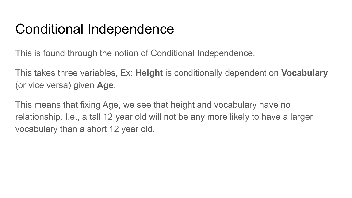### Conditional Independence

This is found through the notion of Conditional Independence.

This takes three variables, Ex: **Height** is conditionally dependent on **Vocabulary** (or vice versa) given **Age**.

This means that fixing Age, we see that height and vocabulary have no relationship. I.e., a tall 12 year old will not be any more likely to have a larger vocabulary than a short 12 year old.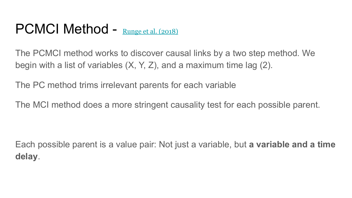### PCMCI Method - [Runge et al. \(2018\)](https://arxiv.org/abs/1702.07007v2)

The PCMCI method works to discover causal links by a two step method. We begin with a list of variables (X, Y, Z), and a maximum time lag (2).

The PC method trims irrelevant parents for each variable

The MCI method does a more stringent causality test for each possible parent.

Each possible parent is a value pair: Not just a variable, but **a variable and a time delay**.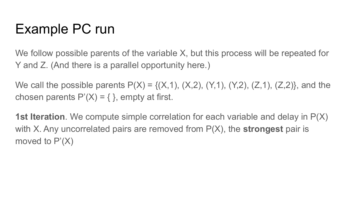### Example PC run

We follow possible parents of the variable X, but this process will be repeated for Y and Z. (And there is a parallel opportunity here.)

We call the possible parents  $P(X) = \{(X,1), (X,2), (Y,1), (Y,2), (Z,1), (Z,2)\}$ , and the chosen parents  $P'(X) = \{\}$ , empty at first.

**1st Iteration**. We compute simple correlation for each variable and delay in P(X) with X. Any uncorrelated pairs are removed from P(X), the **strongest** pair is moved to  $P'(X)$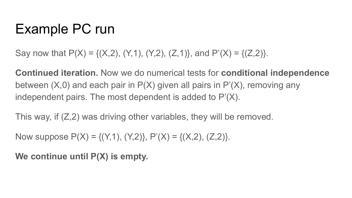### Example PC run

Say now that  $P(X) = \{(X, 2), (Y, 1), (Y, 2), (Z, 1)\}$ , and  $P'(X) = \{(Z, 2)\}$ .

**Continued iteration.** Now we do numerical tests for **conditional independence** between  $(X,0)$  and each pair in  $P(X)$  given all pairs in  $P'(X)$ , removing any independent pairs. The most dependent is added to P'(X).

This way, if  $(Z,2)$  was driving other variables, they will be removed.

Now suppose  $P(X) = \{(Y,1), (Y,2)\}, P'(X) = \{(X,2), (Z,2)\}.$ 

**We continue until P(X) is empty.**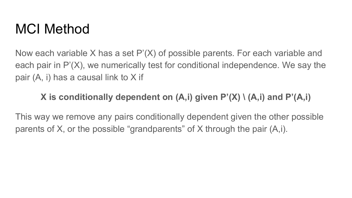### MCI Method

Now each variable X has a set P'(X) of possible parents. For each variable and each pair in P'(X), we numerically test for conditional independence. We say the pair (A, i) has a causal link to X if

#### **X is conditionally dependent on (A,i) given P'(X) \ (A,i) and P'(A,i)**

This way we remove any pairs conditionally dependent given the other possible parents of X, or the possible "grandparents" of X through the pair (A,i).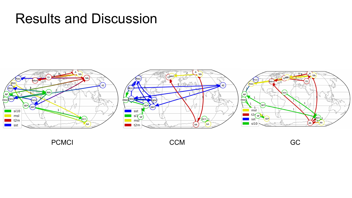#### Results and Discussion



PCMCI CCM CCM CCM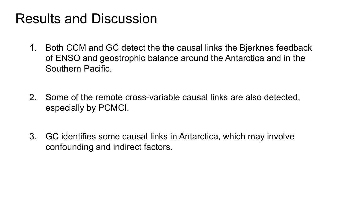### Results and Discussion

- 1. Both CCM and GC detect the the causal links the Bjerknes feedback of ENSO and geostrophic balance around the Antarctica and in the Southern Pacific.
- 2. Some of the remote cross-variable causal links are also detected, especially by PCMCI.
- 3. GC identifies some causal links in Antarctica, which may involve confounding and indirect factors.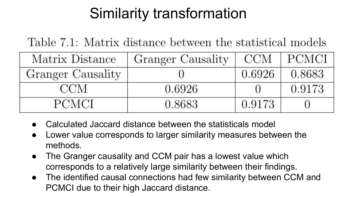## Similarity transformation

Table 7.1: Matrix distance between the statistical models

| Matrix Distance   | Granger Causality | CCM    | <b>PCMCI</b> |
|-------------------|-------------------|--------|--------------|
| Granger Causality |                   | 0.6926 | 0.8683       |
| CCM               | 0.6926            |        | 0.9173       |
| PCMCL             | 0.8683            | 0.9173 |              |

- Calculated Jaccard distance between the statisticals model
- Lower value corresponds to larger similarity measures between the methods.
- The Granger causality and CCM pair has a lowest value which corresponds to a relatively large similarity between their findings.
- The identified causal connections had few similarity between CCM and PCMCI due to their high Jaccard distance.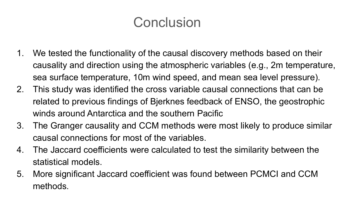### **Conclusion**

- 1. We tested the functionality of the causal discovery methods based on their causality and direction using the atmospheric variables (e.g., 2m temperature, sea surface temperature, 10m wind speed, and mean sea level pressure).
- 2. This study was identified the cross variable causal connections that can be related to previous findings of Bjerknes feedback of ENSO, the geostrophic winds around Antarctica and the southern Pacific
- 3. The Granger causality and CCM methods were most likely to produce similar causal connections for most of the variables.
- 4. The Jaccard coefficients were calculated to test the similarity between the statistical models.
- 5. More significant Jaccard coefficient was found between PCMCI and CCM methods.